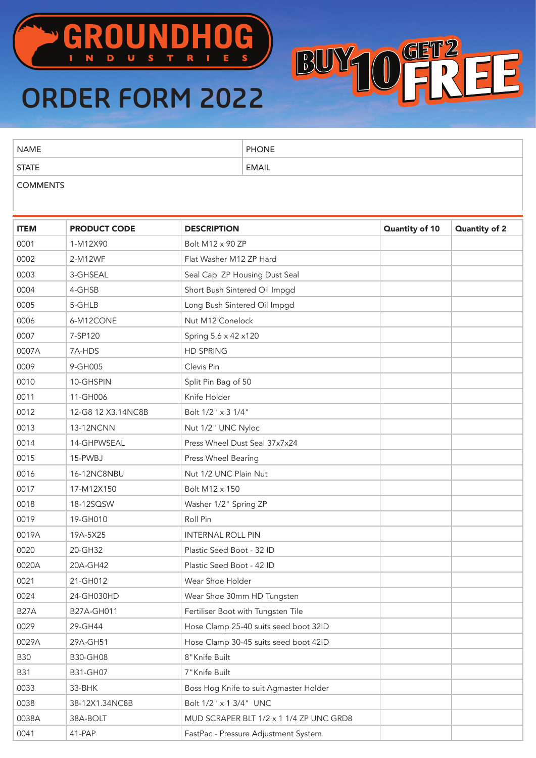

## **ORDER FORM 2022**

| ------------ |              |
|--------------|--------------|
| <b>STATE</b> | EMAIL        |
| NAME         | <b>PHONE</b> |

BUY TO GET 2

COMMENTS

| <b>ITEM</b> | <b>PRODUCT CODE</b> | <b>DESCRIPTION</b>                      | Quantity of 10 | <b>Quantity of 2</b> |
|-------------|---------------------|-----------------------------------------|----------------|----------------------|
| 0001        | 1-M12X90            | Bolt M12 x 90 ZP                        |                |                      |
| 0002        | 2-M12WF             | Flat Washer M12 ZP Hard                 |                |                      |
| 0003        | 3-GHSEAL            | Seal Cap ZP Housing Dust Seal           |                |                      |
| 0004        | 4-GHSB              | Short Bush Sintered Oil Impgd           |                |                      |
| 0005        | 5-GHLB              | Long Bush Sintered Oil Impgd            |                |                      |
| 0006        | 6-M12CONE           | Nut M12 Conelock                        |                |                      |
| 0007        | 7-SP120             | Spring 5.6 x 42 x120                    |                |                      |
| 0007A       | 7A-HDS              | <b>HD SPRING</b>                        |                |                      |
| 0009        | 9-GH005             | Clevis Pin                              |                |                      |
| 0010        | 10-GHSPIN           | Split Pin Bag of 50                     |                |                      |
| 0011        | 11-GH006            | Knife Holder                            |                |                      |
| 0012        | 12-G8 12 X3.14NC8B  | Bolt 1/2" x 3 1/4"                      |                |                      |
| 0013        | 13-12NCNN           | Nut 1/2" UNC Nyloc                      |                |                      |
| 0014        | 14-GHPWSEAL         | Press Wheel Dust Seal 37x7x24           |                |                      |
| 0015        | 15-PWBJ             | Press Wheel Bearing                     |                |                      |
| 0016        | 16-12NC8NBU         | Nut 1/2 UNC Plain Nut                   |                |                      |
| 0017        | 17-M12X150          | Bolt M12 x 150                          |                |                      |
| 0018        | 18-12SQSW           | Washer 1/2" Spring ZP                   |                |                      |
| 0019        | 19-GH010            | Roll Pin                                |                |                      |
| 0019A       | 19A-5X25            | <b>INTERNAL ROLL PIN</b>                |                |                      |
| 0020        | 20-GH32             | Plastic Seed Boot - 32 ID               |                |                      |
| 0020A       | 20A-GH42            | Plastic Seed Boot - 42 ID               |                |                      |
| 0021        | 21-GH012            | Wear Shoe Holder                        |                |                      |
| 0024        | 24-GH030HD          | Wear Shoe 30mm HD Tungsten              |                |                      |
| <b>B27A</b> | B27A-GH011          | Fertiliser Boot with Tungsten Tile      |                |                      |
| 0029        | 29-GH44             | Hose Clamp 25-40 suits seed boot 32ID   |                |                      |
| 0029A       | 29A-GH51            | Hose Clamp 30-45 suits seed boot 42ID   |                |                      |
| <b>B30</b>  | <b>B30-GH08</b>     | 8"Knife Built                           |                |                      |
| <b>B31</b>  | B31-GH07            | 7"Knife Built                           |                |                      |
| 0033        | 33-BHK              | Boss Hog Knife to suit Agmaster Holder  |                |                      |
| 0038        | 38-12X1.34NC8B      | Bolt 1/2" x 1 3/4" UNC                  |                |                      |
| 0038A       | 38A-BOLT            | MUD SCRAPER BLT 1/2 x 1 1/4 ZP UNC GRD8 |                |                      |
| 0041        | 41-PAP              | FastPac - Pressure Adjustment System    |                |                      |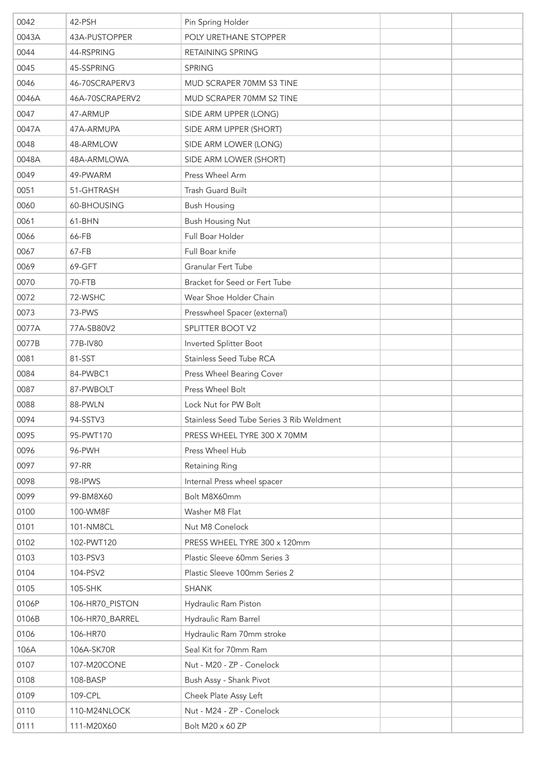| 0042  | 42-PSH          | Pin Spring Holder                         |  |
|-------|-----------------|-------------------------------------------|--|
| 0043A | 43A-PUSTOPPER   | POLY URETHANE STOPPER                     |  |
| 0044  | 44-RSPRING      | RETAINING SPRING                          |  |
| 0045  | 45-SSPRING      | <b>SPRING</b>                             |  |
| 0046  | 46-70SCRAPERV3  | MUD SCRAPER 70MM S3 TINE                  |  |
| 0046A | 46A-70SCRAPERV2 | MUD SCRAPER 70MM S2 TINE                  |  |
| 0047  | 47-ARMUP        | SIDE ARM UPPER (LONG)                     |  |
| 0047A | 47A-ARMUPA      | SIDE ARM UPPER (SHORT)                    |  |
| 0048  | 48-ARMLOW       | SIDE ARM LOWER (LONG)                     |  |
| 0048A | 48A-ARMLOWA     | SIDE ARM LOWER (SHORT)                    |  |
| 0049  | 49-PWARM        | Press Wheel Arm                           |  |
| 0051  | 51-GHTRASH      | Trash Guard Built                         |  |
| 0060  | 60-BHOUSING     | <b>Bush Housing</b>                       |  |
| 0061  | 61-BHN          | <b>Bush Housing Nut</b>                   |  |
| 0066  | 66-FB           | Full Boar Holder                          |  |
| 0067  | 67-FB           | Full Boar knife                           |  |
| 0069  | 69-GFT          | Granular Fert Tube                        |  |
| 0070  | 70-FTB          | Bracket for Seed or Fert Tube             |  |
| 0072  | 72-WSHC         | Wear Shoe Holder Chain                    |  |
| 0073  | 73-PWS          | Presswheel Spacer (external)              |  |
| 0077A | 77A-SB80V2      | SPLITTER BOOT V2                          |  |
| 0077B | 77B-IV80        | Inverted Splitter Boot                    |  |
| 0081  | 81-SST          | Stainless Seed Tube RCA                   |  |
| 0084  | 84-PWBC1        | Press Wheel Bearing Cover                 |  |
| 0087  | 87-PWBOLT       | Press Wheel Bolt                          |  |
| 0088  | 88-PWLN         | Lock Nut for PW Bolt                      |  |
| 0094  | 94-SSTV3        | Stainless Seed Tube Series 3 Rib Weldment |  |
| 0095  | 95-PWT170       | PRESS WHEEL TYRE 300 X 70MM               |  |
| 0096  | 96-PWH          | Press Wheel Hub                           |  |
| 0097  | 97-RR           | Retaining Ring                            |  |
| 0098  | 98-IPWS         | Internal Press wheel spacer               |  |
| 0099  | 99-BM8X60       | Bolt M8X60mm                              |  |
| 0100  | 100-WM8F        | Washer M8 Flat                            |  |
| 0101  | 101-NM8CL       | Nut M8 Conelock                           |  |
| 0102  | 102-PWT120      | PRESS WHEEL TYRE 300 x 120mm              |  |
| 0103  | 103-PSV3        | Plastic Sleeve 60mm Series 3              |  |
| 0104  | 104-PSV2        | Plastic Sleeve 100mm Series 2             |  |
| 0105  | 105-SHK         | <b>SHANK</b>                              |  |
| 0106P | 106-HR70_PISTON | Hydraulic Ram Piston                      |  |
| 0106B | 106-HR70_BARREL | Hydraulic Ram Barrel                      |  |
| 0106  | 106-HR70        | Hydraulic Ram 70mm stroke                 |  |
| 106A  | 106A-SK70R      | Seal Kit for 70mm Ram                     |  |
| 0107  | 107-M20CONE     | Nut - M20 - ZP - Conelock                 |  |
| 0108  | 108-BASP        | Bush Assy - Shank Pivot                   |  |
| 0109  | 109-CPL         | Cheek Plate Assy Left                     |  |
| 0110  | 110-M24NLOCK    | Nut - M24 - ZP - Conelock                 |  |
| 0111  | 111-M20X60      | Bolt M20 x 60 ZP                          |  |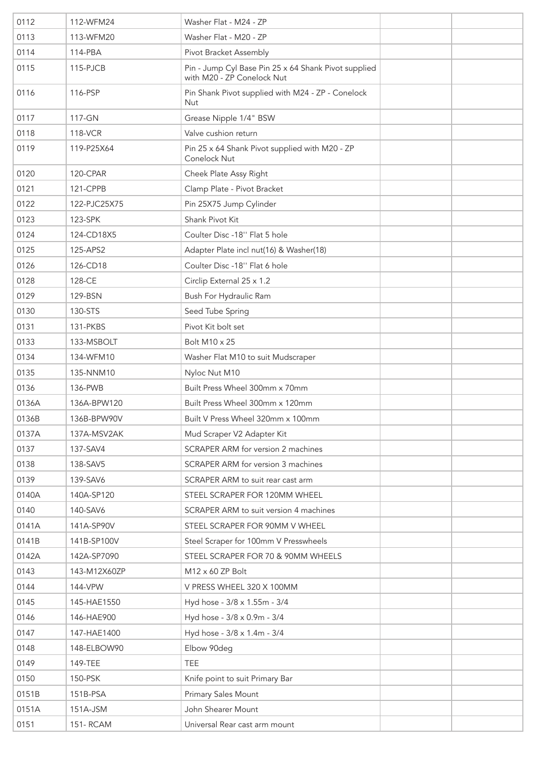| 0112  | 112-WFM24      | Washer Flat - M24 - ZP                                                             |  |
|-------|----------------|------------------------------------------------------------------------------------|--|
| 0113  | 113-WFM20      | Washer Flat - M20 - ZP                                                             |  |
| 0114  | 114-PBA        | Pivot Bracket Assembly                                                             |  |
| 0115  | 115-PJCB       | Pin - Jump Cyl Base Pin 25 x 64 Shank Pivot supplied<br>with M20 - ZP Conelock Nut |  |
| 0116  | 116-PSP        | Pin Shank Pivot supplied with M24 - ZP - Conelock<br>Nut                           |  |
| 0117  | 117-GN         | Grease Nipple 1/4" BSW                                                             |  |
| 0118  | <b>118-VCR</b> | Valve cushion return                                                               |  |
| 0119  | 119-P25X64     | Pin 25 x 64 Shank Pivot supplied with M20 - ZP<br>Conelock Nut                     |  |
| 0120  | 120-CPAR       | Cheek Plate Assy Right                                                             |  |
| 0121  | 121-CPPB       | Clamp Plate - Pivot Bracket                                                        |  |
| 0122  | 122-PJC25X75   | Pin 25X75 Jump Cylinder                                                            |  |
| 0123  | 123-SPK        | Shank Pivot Kit                                                                    |  |
| 0124  | 124-CD18X5     | Coulter Disc -18" Flat 5 hole                                                      |  |
| 0125  | 125-APS2       | Adapter Plate incl nut(16) & Washer(18)                                            |  |
| 0126  | 126-CD18       | Coulter Disc -18" Flat 6 hole                                                      |  |
| 0128  | 128-CE         | Circlip External 25 x 1.2                                                          |  |
| 0129  | 129-BSN        | Bush For Hydraulic Ram                                                             |  |
| 0130  | 130-STS        | Seed Tube Spring                                                                   |  |
| 0131  | 131-PKBS       | Pivot Kit bolt set                                                                 |  |
| 0133  | 133-MSBOLT     | Bolt M10 x 25                                                                      |  |
| 0134  | 134-WFM10      | Washer Flat M10 to suit Mudscraper                                                 |  |
| 0135  | 135-NNM10      | Nyloc Nut M10                                                                      |  |
| 0136  | 136-PWB        | Built Press Wheel 300mm x 70mm                                                     |  |
| 0136A | 136A-BPW120    | Built Press Wheel 300mm x 120mm                                                    |  |
| 0136B | 136B-BPW90V    | Built V Press Wheel 320mm x 100mm                                                  |  |
| 0137A | 137A-MSV2AK    | Mud Scraper V2 Adapter Kit                                                         |  |
| 0137  | 137-SAV4       | SCRAPER ARM for version 2 machines                                                 |  |
| 0138  | 138-SAV5       | SCRAPER ARM for version 3 machines                                                 |  |
| 0139  | 139-SAV6       | SCRAPER ARM to suit rear cast arm                                                  |  |
| 0140A | 140A-SP120     | STEEL SCRAPER FOR 120MM WHEEL                                                      |  |
| 0140  | 140-SAV6       | SCRAPER ARM to suit version 4 machines                                             |  |
| 0141A | 141A-SP90V     | STEEL SCRAPER FOR 90MM V WHEEL                                                     |  |
| 0141B | 141B-SP100V    | Steel Scraper for 100mm V Presswheels                                              |  |
| 0142A | 142A-SP7090    | STEEL SCRAPER FOR 70 & 90MM WHEELS                                                 |  |
| 0143  | 143-M12X60ZP   | M12 x 60 ZP Bolt                                                                   |  |
| 0144  | 144-VPW        | V PRESS WHEEL 320 X 100MM                                                          |  |
| 0145  | 145-HAE1550    | Hyd hose - 3/8 x 1.55m - 3/4                                                       |  |
| 0146  | 146-HAE900     | Hyd hose - 3/8 x 0.9m - 3/4                                                        |  |
| 0147  | 147-HAE1400    | Hyd hose - 3/8 x 1.4m - 3/4                                                        |  |
| 0148  | 148-ELBOW90    | Elbow 90deg                                                                        |  |
| 0149  | 149-TEE        | <b>TEE</b>                                                                         |  |
| 0150  | 150-PSK        | Knife point to suit Primary Bar                                                    |  |
| 0151B | 151B-PSA       | Primary Sales Mount                                                                |  |
| 0151A | 151A-JSM       | John Shearer Mount                                                                 |  |
| 0151  | 151-RCAM       | Universal Rear cast arm mount                                                      |  |